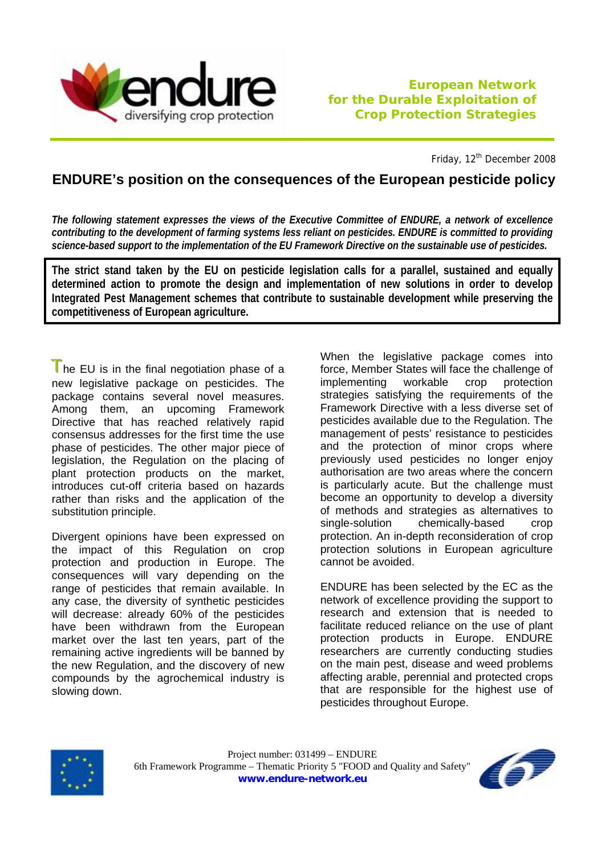

Friday, 12<sup>th</sup> December 2008

## **ENDURE's position on the consequences of the European pesticide policy**

*The following statement expresses the views of the Executive Committee of ENDURE, a network of excellence contributing to the development of farming systems less reliant on pesticides. ENDURE is committed to providing science-based support to the implementation of the EU Framework Directive on the sustainable use of pesticides.* 

**The strict stand taken by the EU on pesticide legislation calls for a parallel, sustained and equally determined action to promote the design and implementation of new solutions in order to develop Integrated Pest Management schemes that contribute to sustainable development while preserving the competitiveness of European agriculture.** 

 $T$  he EU is in the final negotiation phase of a new legislative package on pesticides. The package contains several novel measures. Among them, an upcoming Framework Directive that has reached relatively rapid consensus addresses for the first time the use phase of pesticides. The other major piece of legislation, the Regulation on the placing of plant protection products on the market, introduces cut-off criteria based on hazards rather than risks and the application of the substitution principle.

Divergent opinions have been expressed on the impact of this Regulation on crop protection and production in Europe. The consequences will vary depending on the range of pesticides that remain available. In any case, the diversity of synthetic pesticides will decrease: already 60% of the pesticides have been withdrawn from the European market over the last ten years, part of the remaining active ingredients will be banned by the new Regulation, and the discovery of new compounds by the agrochemical industry is slowing down.

When the legislative package comes into force, Member States will face the challenge of implementing workable crop protection strategies satisfying the requirements of the Framework Directive with a less diverse set of pesticides available due to the Regulation. The management of pests' resistance to pesticides and the protection of minor crops where previously used pesticides no longer enjoy authorisation are two areas where the concern is particularly acute. But the challenge must become an opportunity to develop a diversity of methods and strategies as alternatives to single-solution chemically-based crop protection. An in-depth reconsideration of crop protection solutions in European agriculture cannot be avoided.

ENDURE has been selected by the EC as the network of excellence providing the support to research and extension that is needed to facilitate reduced reliance on the use of plant protection products in Europe. ENDURE researchers are currently conducting studies on the main pest, disease and weed problems affecting arable, perennial and protected crops that are responsible for the highest use of pesticides throughout Europe.